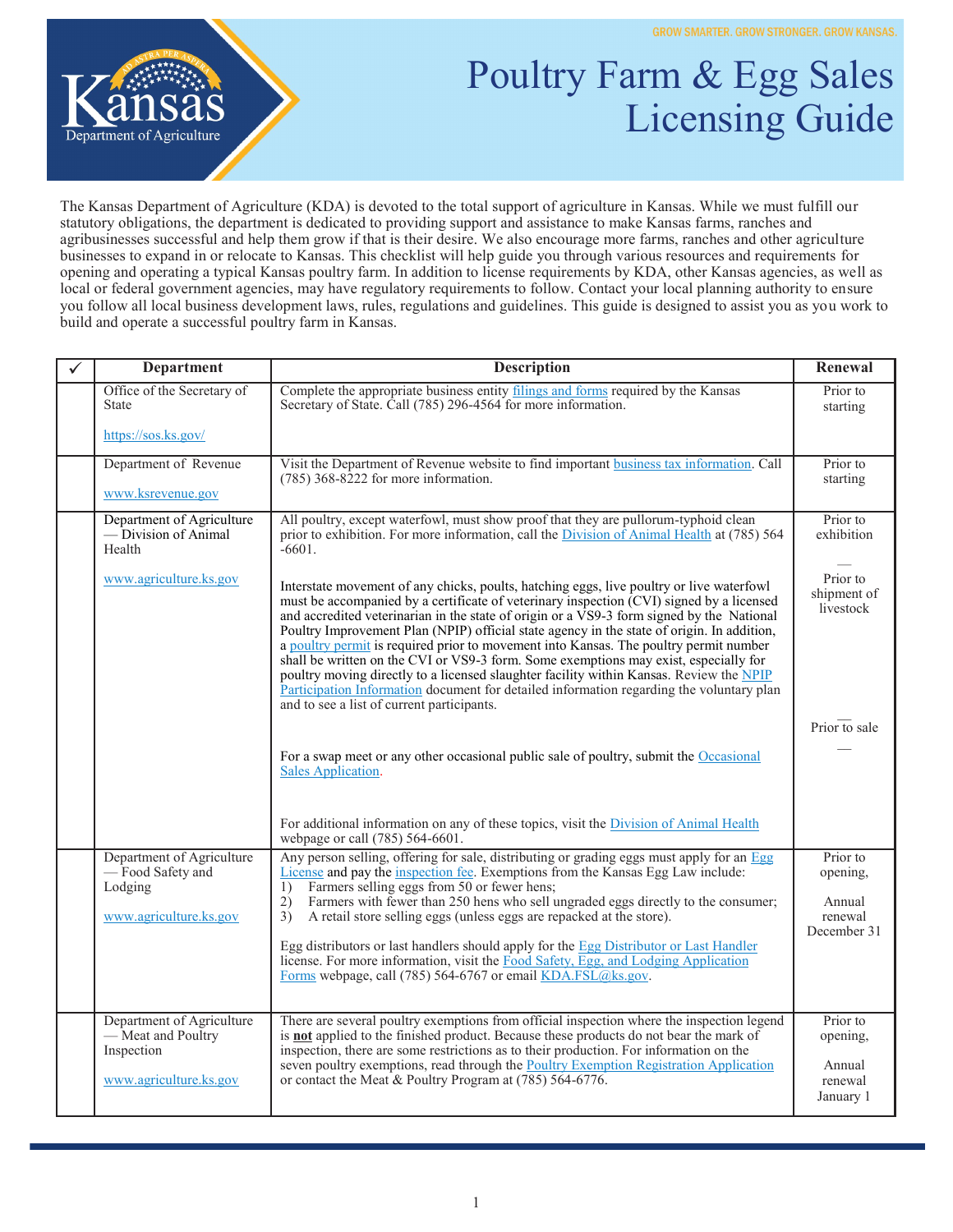

## Poultry Farm & Egg Sales Licensing Guide

The Kansas Department of Agriculture (KDA) is devoted to the total support of agriculture in Kansas. While we must fulfill our statutory obligations, the department is dedicated to providing support and assistance to make Kansas farms, ranches and agribusinesses successful and help them grow if that is their desire. We also encourage more farms, ranches and other agriculture businesses to expand in or relocate to Kansas. This checklist will help guide you through various resources and requirements for opening and operating a typical Kansas poultry farm. In addition to license requirements by KDA, other Kansas agencies, as well as local or federal government agencies, may have regulatory requirements to follow. Contact your local planning authority to ensure you follow all local business development laws, rules, regulations and guidelines. This guide is designed to assist you as you work to build and operate a successful poultry farm in Kansas.

| ✓ | <b>Department</b>                                                                       | <b>Description</b>                                                                                                                                                                                                                                                                                                                                                                                                                                                                                                                                                                                                                                                                                                                                                                                    | Renewal                                                  |
|---|-----------------------------------------------------------------------------------------|-------------------------------------------------------------------------------------------------------------------------------------------------------------------------------------------------------------------------------------------------------------------------------------------------------------------------------------------------------------------------------------------------------------------------------------------------------------------------------------------------------------------------------------------------------------------------------------------------------------------------------------------------------------------------------------------------------------------------------------------------------------------------------------------------------|----------------------------------------------------------|
|   | Office of the Secretary of<br><b>State</b>                                              | Complete the appropriate business entity filings and forms required by the Kansas<br>Secretary of State. Call (785) 296-4564 for more information.                                                                                                                                                                                                                                                                                                                                                                                                                                                                                                                                                                                                                                                    | Prior to<br>starting                                     |
|   | https://sos.ks.gov/                                                                     |                                                                                                                                                                                                                                                                                                                                                                                                                                                                                                                                                                                                                                                                                                                                                                                                       |                                                          |
|   | Department of Revenue                                                                   | Visit the Department of Revenue website to find important business tax information. Call<br>$(785)$ 368-8222 for more information.                                                                                                                                                                                                                                                                                                                                                                                                                                                                                                                                                                                                                                                                    | Prior to<br>starting                                     |
|   | www.ksrevenue.gov                                                                       |                                                                                                                                                                                                                                                                                                                                                                                                                                                                                                                                                                                                                                                                                                                                                                                                       |                                                          |
|   | Department of Agriculture<br>— Division of Animal<br>Health                             | All poultry, except waterfowl, must show proof that they are pullorum-typhoid clean<br>prior to exhibition. For more information, call the Division of Animal Health at (785) 564<br>$-6601.$                                                                                                                                                                                                                                                                                                                                                                                                                                                                                                                                                                                                         | Prior to<br>exhibition                                   |
|   | www.agriculture.ks.gov                                                                  | Interstate movement of any chicks, poults, hatching eggs, live poultry or live waterfowl<br>must be accompanied by a certificate of veterinary inspection (CVI) signed by a licensed<br>and accredited veterinarian in the state of origin or a VS9-3 form signed by the National<br>Poultry Improvement Plan (NPIP) official state agency in the state of origin. In addition,<br>a poultry permit is required prior to movement into Kansas. The poultry permit number<br>shall be written on the CVI or VS9-3 form. Some exemptions may exist, especially for<br>poultry moving directly to a licensed slaughter facility within Kansas. Review the NPIP<br>Participation Information document for detailed information regarding the voluntary plan<br>and to see a list of current participants. | Prior to<br>shipment of<br>livestock                     |
|   |                                                                                         |                                                                                                                                                                                                                                                                                                                                                                                                                                                                                                                                                                                                                                                                                                                                                                                                       | Prior to sale                                            |
|   |                                                                                         | For a swap meet or any other occasional public sale of poultry, submit the Occasional<br>Sales Application.                                                                                                                                                                                                                                                                                                                                                                                                                                                                                                                                                                                                                                                                                           |                                                          |
|   |                                                                                         | For additional information on any of these topics, visit the Division of Animal Health<br>webpage or call (785) 564-6601.                                                                                                                                                                                                                                                                                                                                                                                                                                                                                                                                                                                                                                                                             |                                                          |
|   | Department of Agriculture<br>-Food Safety and<br>Lodging<br>www.agriculture.ks.gov      | Any person selling, offering for sale, distributing or grading eggs must apply for an Egg<br>License and pay the inspection fee. Exemptions from the Kansas Egg Law include:<br>Farmers selling eggs from 50 or fewer hens;<br>1)<br>Farmers with fewer than 250 hens who sell ungraded eggs directly to the consumer;<br>2)<br>3)<br>A retail store selling eggs (unless eggs are repacked at the store).<br>Egg distributors or last handlers should apply for the Egg Distributor or Last Handler<br>license. For more information, visit the Food Safety, Egg, and Lodging Application<br>Forms webpage, call (785) 564-6767 or email KDA.FSL@ks.gov.                                                                                                                                             | Prior to<br>opening,<br>Annual<br>renewal<br>December 31 |
|   | Department of Agriculture<br>- Meat and Poultry<br>Inspection<br>www.agriculture.ks.gov | There are several poultry exemptions from official inspection where the inspection legend<br>is <b>not</b> applied to the finished product. Because these products do not bear the mark of<br>inspection, there are some restrictions as to their production. For information on the<br>seven poultry exemptions, read through the Poultry Exemption Registration Application<br>or contact the Meat & Poultry Program at (785) 564-6776.                                                                                                                                                                                                                                                                                                                                                             | Prior to<br>opening,<br>Annual<br>renewal<br>January 1   |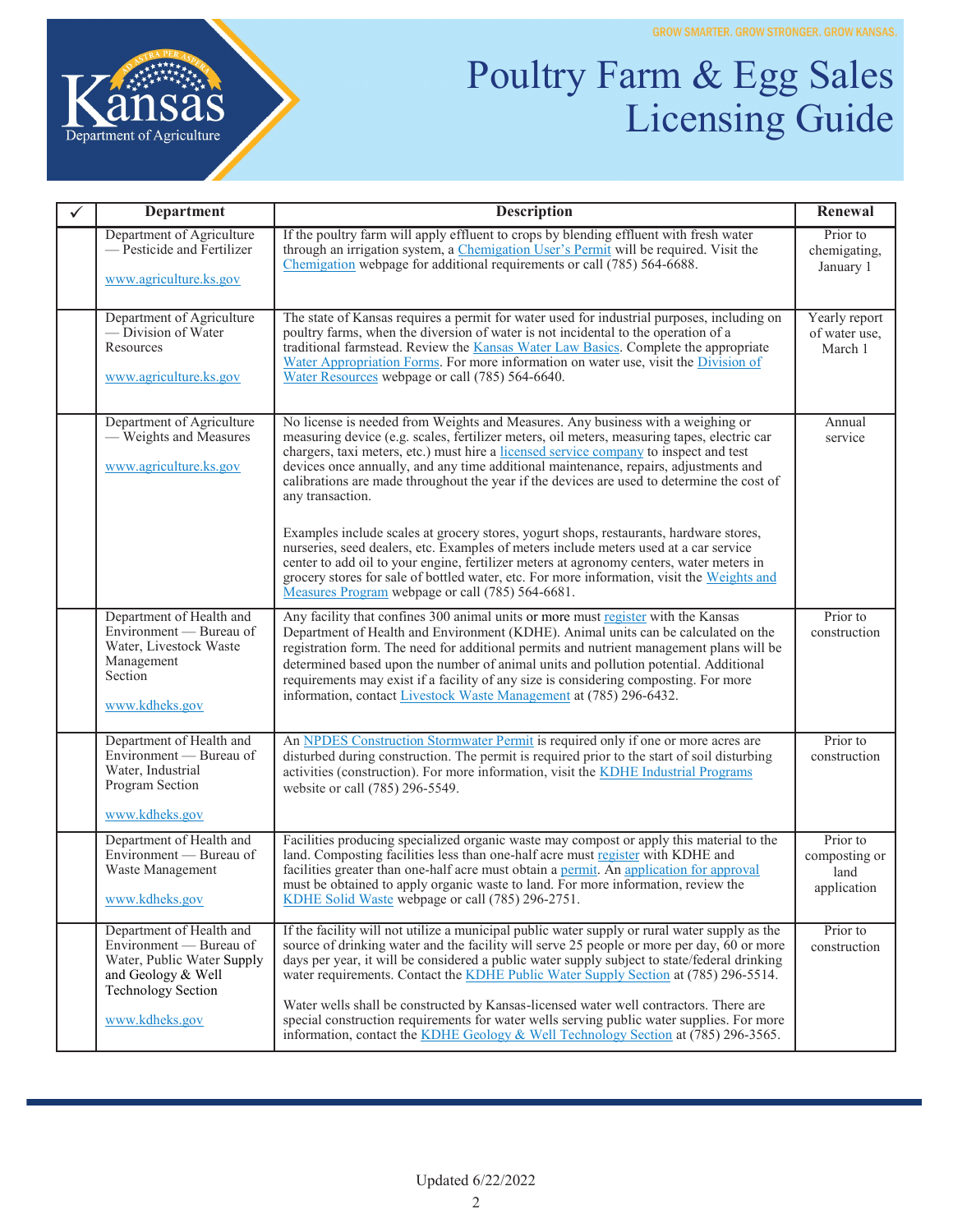

## Poultry Farm & Egg Sales Licensing Guide

| <b>Department</b>                                                                                                                                      | <b>Description</b>                                                                                                                                                                                                                                                                                                                                                                                                                                                                                                                                                                                                                                                                                                                                                                                                                                                                                                 | Renewal                                          |
|--------------------------------------------------------------------------------------------------------------------------------------------------------|--------------------------------------------------------------------------------------------------------------------------------------------------------------------------------------------------------------------------------------------------------------------------------------------------------------------------------------------------------------------------------------------------------------------------------------------------------------------------------------------------------------------------------------------------------------------------------------------------------------------------------------------------------------------------------------------------------------------------------------------------------------------------------------------------------------------------------------------------------------------------------------------------------------------|--------------------------------------------------|
| Department of Agriculture<br>-Pesticide and Fertilizer<br>www.agriculture.ks.gov                                                                       | If the poultry farm will apply effluent to crops by blending effluent with fresh water<br>through an irrigation system, a Chemigation User's Permit will be required. Visit the<br>Chemigation webpage for additional requirements or call (785) 564-6688.                                                                                                                                                                                                                                                                                                                                                                                                                                                                                                                                                                                                                                                         | Prior to<br>chemigating,<br>January 1            |
| Department of Agriculture<br>-Division of Water<br>Resources<br>www.agriculture.ks.gov                                                                 | The state of Kansas requires a permit for water used for industrial purposes, including on<br>poultry farms, when the diversion of water is not incidental to the operation of a<br>traditional farmstead. Review the <b>Kansas Water Law Basics</b> . Complete the appropriate<br>Water Appropriation Forms. For more information on water use, visit the Division of<br>Water Resources webpage or call (785) 564-6640.                                                                                                                                                                                                                                                                                                                                                                                                                                                                                          | Yearly report<br>of water use,<br>March 1        |
| Department of Agriculture<br>- Weights and Measures<br>www.agriculture.ks.gov                                                                          | No license is needed from Weights and Measures. Any business with a weighing or<br>measuring device (e.g. scales, fertilizer meters, oil meters, measuring tapes, electric car<br>chargers, taxi meters, etc.) must hire a licensed service company to inspect and test<br>devices once annually, and any time additional maintenance, repairs, adjustments and<br>calibrations are made throughout the year if the devices are used to determine the cost of<br>any transaction.<br>Examples include scales at grocery stores, yogurt shops, restaurants, hardware stores,<br>nurseries, seed dealers, etc. Examples of meters include meters used at a car service<br>center to add oil to your engine, fertilizer meters at agronomy centers, water meters in<br>grocery stores for sale of bottled water, etc. For more information, visit the Weights and<br>Measures Program webpage or call (785) 564-6681. | Annual<br>service                                |
| Department of Health and<br>Environment — Bureau of<br>Water, Livestock Waste<br>Management<br>Section<br>www.kdheks.gov                               | Any facility that confines 300 animal units or more must register with the Kansas<br>Department of Health and Environment (KDHE). Animal units can be calculated on the<br>registration form. The need for additional permits and nutrient management plans will be<br>determined based upon the number of animal units and pollution potential. Additional<br>requirements may exist if a facility of any size is considering composting. For more<br>information, contact Livestock Waste Management at (785) 296-6432.                                                                                                                                                                                                                                                                                                                                                                                          | Prior to<br>construction                         |
| Department of Health and<br>Environment — Bureau of<br>Water, Industrial<br>Program Section<br>www.kdheks.gov                                          | An NPDES Construction Stormwater Permit is required only if one or more acres are<br>disturbed during construction. The permit is required prior to the start of soil disturbing<br>activities (construction). For more information, visit the KDHE Industrial Programs<br>website or call (785) 296-5549.                                                                                                                                                                                                                                                                                                                                                                                                                                                                                                                                                                                                         | Prior to<br>construction                         |
| Department of Health and<br>Environment - Bureau of<br>Waste Management<br>www.kdheks.gov                                                              | Facilities producing specialized organic waste may compost or apply this material to the<br>land. Composting facilities less than one-half acre must register with KDHE and<br>facilities greater than one-half acre must obtain a permit. An application for approval<br>must be obtained to apply organic waste to land. For more information, review the<br>KDHE Solid Waste webpage or call (785) 296-2751.                                                                                                                                                                                                                                                                                                                                                                                                                                                                                                    | Prior to<br>composting or<br>land<br>application |
| Department of Health and<br>Environment — Bureau of<br>Water, Public Water Supply<br>and Geology & Well<br><b>Technology Section</b><br>www.kdheks.gov | If the facility will not utilize a municipal public water supply or rural water supply as the<br>source of drinking water and the facility will serve 25 people or more per day, 60 or more<br>days per year, it will be considered a public water supply subject to state/federal drinking<br>water requirements. Contact the KDHE Public Water Supply Section at (785) 296-5514.<br>Water wells shall be constructed by Kansas-licensed water well contractors. There are<br>special construction requirements for water wells serving public water supplies. For more<br>information, contact the KDHE Geology & Well Technology Section at (785) 296-3565.                                                                                                                                                                                                                                                     | Prior to<br>construction                         |